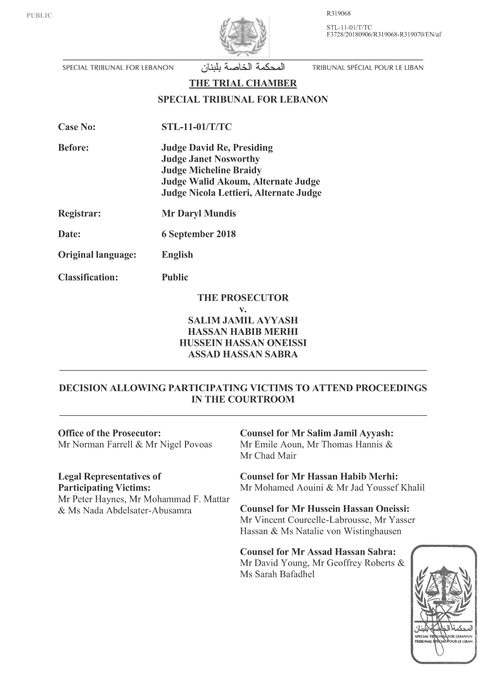R319068

STL-11-01/T/TC F3728/20180906/R319068-R319070/EN/af



SPECIAL TRIBUNAL FOR LEBANON

المحكمة الخاصة بلبنان

TRIBUNAL SPÉCIAL POUR LE LIBAN

THE TRIAL CHAMBER

### **SPECIAL TRIBUNAL FOR LEBANON**

| <b>Case No:</b> | <b>STL-11-01/T/TC</b> |
|-----------------|-----------------------|
|                 |                       |

**Before: Judge David Re, Presiding Judge Janet Nosworthy Judge Micheline Braidy** Judge Walid Akoum, Alternate Judge Judge Nicola Lettieri, Alternate Judge

Registrar: **Mr Daryl Mundis** 

Date: 6 September 2018

Original language: English

**Classification: Public** 

# **THE PROSECUTOR**

#### $\mathbf{V}$ .

**SALIM JAMIL AYYASH HASSAN HABIB MERHI** HUSSEIN HASSAN ONEISSI **ASSAD HASSAN SABRA** 

## **DECISION ALLOWING PARTICIPATING VICTIMS TO ATTEND PROCEEDINGS IN THE COURTROOM**

#### **Office of the Prosecutor:**

Mr Norman Farrell & Mr Nigel Povoas

#### **Legal Representatives of Participating Victims:**

Mr Peter Haynes, Mr Mohammad F. Mattar & Ms Nada Abdelsater-Abusamra

## **Counsel for Mr Salim Jamil Ayyash:** Mr Emile Aoun, Mr Thomas Hannis & Mr Chad Mair

**Counsel for Mr Hassan Habib Merhi:** Mr Mohamed Aouini & Mr Jad Youssef Khalil

**Counsel for Mr Hussein Hassan Oneissi:** Mr Vincent Courcelle-Labrousse, Mr Yasser Hassan & Ms Natalie von Wistinghausen

**Counsel for Mr Assad Hassan Sabra:** Mr David Young, Mr Geoffrey Roberts & Ms Sarah Bafadhel

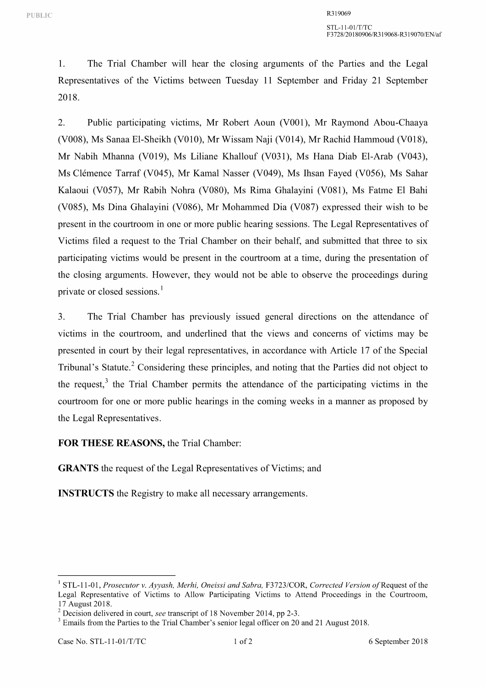1. The Trial Chamber will hear the closing arguments of the Parties and the Legal Representatives of the Victims between Tuesday 11 September and Friday 21 September 2018.

2. Public participating victims, Mr Robert Aoun (V001), Mr Raymond Abou-Chaaya (V008), Ms Sanaa El-Sheikh (V010), Mr Wissam Naji (V014), Mr Rachid Hammoud (V018), Mr Nabih Mhanna (V019), Ms Liliane Khallouf (V031), Ms Hana Diab El-Arab (V043), Ms Clémence Tarraf (V045), Mr Kamal Nasser (V049), Ms Ihsan Fayed (V056), Ms Sahar Kalaoui (V057), Mr Rabih Nohra (V080), Ms Rima Ghalayini (V081), Ms Fatme El Bahi (V085), Ms Dina Ghalayini (V086), Mr Mohammed Dia (V087) expressed their wish to be present in the courtroom in one or more public hearing sessions. The Legal Representatives of Victims filed a request to the Trial Chamber on their behalf, and submitted that three to six participating victims would be present in the courtroom at a time, during the presentation of the closing arguments. However, they would not be able to observe the proceedings during private or closed sessions.<sup>1</sup>

3. The Trial Chamber has previously issued general directions on the attendance of victims in the courtroom, and underlined that the views and concerns of victims may be presented in court by their legal representatives, in accordance with Article 17 of the Special Tribunal's Statute.<sup>2</sup> Considering these principles, and noting that the Parties did not object to the request, $3$  the Trial Chamber permits the attendance of the participating victims in the courtroom for one or more public hearings in the coming weeks in a manner as proposed by the Legal Representatives.

### **FOR THESE REASONS,** the Trial Chamber:

**GRANTS** the request of the Legal Representatives of Victims; and

**INSTRUCTS** the Registry to make all necessary arrangements.

<sup>&</sup>lt;sup>1</sup> STL-11-01, *Prosecutor v. Ayyash, Merhi, Oneissi and Sabra, F3723/COR, Corrected Version of Request of the* Legal Representative of Victims to Allow Participating Victims to Attend Proceedings in the Courtroom,

<sup>&</sup>lt;sup>2</sup> Decision delivered in court, *see* transcript of 18 November 2014, pp 2-3.  $\frac{3}{10}$  Emails from the Parties to the Trial Chamber's senior legal officer on 20 and 21 August 2018.